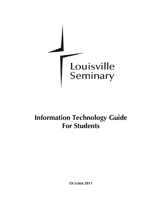

# **Information Technology Guide For Students**

**OCTOBER 2011**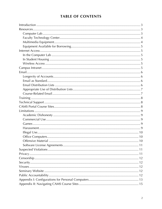# **TABLE OF CONTENTS**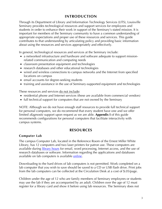# **INTRODUCTION**

<span id="page-2-0"></span>Through its Department of Library and Information Technology Services (LITS), Louisville Seminary provides technological resources and support services for employees and students in order to enhance their work in support of the Seminary's stated mission. It is important for members of the Seminary community to have a common understanding of appropriate expectations and proper use of these resources and services. This guide contributes to that understanding by articulating policy and providing basic information about using the resources and services appropriately and effectively.

In general, technological resources and services at the Seminary include:

- a networked infrastructure and hardware and software adequate to support missionrelated communication and computing needs
- classroom presentation equipment and technologies
- research databases and other educational technologies
- wired and wireless connections to campus networks and the Internet from specified locations on campus
- email accounts for degree-seeking students
- training and assistance in the use of Seminary-supported equipment and technologies

These resources and services do not include:

- residential phone and Internet services (these are available from commercial vendors)
- full technical support for computers that are not owned by the Seminary

NOTE: Although we do not have enough staff resources to provide full technical support for personal computers, we do recommend that every student have one and we offer limited diagnostic support upon request as we are able. **Appendix I** of this guide recommends configurations for personal computers that facilitate interactivity with campus systems.

## **RESOURCES**

## **Computer Lab**

The campus Computer Lab, located in the Reference Room of the Ernest Miller White Library, has 12 computers and two laser printers for patron use. These computers are available during [library hours](http://www.lpts.edu/Content/Documents/LibraryCalendar.asp) for email, word processing, Internet access, and the use of research databases or software. Information regarding the applications and databases available on lab computers is available [online](http://www.lpts.edu/Academic_Resources/ITS/ComputerLab.asp).

Downloading to the hard drives of lab computers is not permitted. Work completed on a lab computer that you wish to save should be saved to a CD or USB flash drive. Print jobs from the lab computers can be collected at the Circulation Desk at a cost of \$.05/page.

Children under the age of 12 who are family members of Seminary employees or students may use the lab if they are accompanied by an adult. Children over the age of 12 must register for a library card and show it before using lab resources. The Seminary does not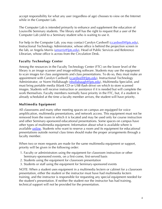<span id="page-3-0"></span>accept responsibility for what any user (regardless of age) chooses to view on the Internet while in the Computer Lab.

The Computer Lab is intended primarily to enhance and supplement the education of Louisville Seminary students. The library staff has the right to request that a user of the Computer Lab yield to a Seminary student who is waiting to use it.

For help in the Computer Lab, you may contact Carolyn Cardwell [\(ccardwell@lpts.edu](mailto:ccardwell@lpts.edu)), Instructional Technology Administrator, whose office is behind the projection screen in the lab, or Angela Morris [\(amorris@lpts.edu](mailto:amorris@lpts.edu)), Head of Public Services and Reference Librarian, whose office is across from the Circulation Desk.

## **Faculty Technology Center**

Among the resources in the Faculty Technology Center (FTC) on the lower level of the library is an image scanner and image-editing software. Students may use the equipment to scan images for class assignments and class presentations. To do so, they must make an appointment with Carolyn Cardwell [\(ccardwell@lpts.edu](mailto:ccardwell@lpts.edu)), Instructional Technology Administrator, or Norm Hollabaugh [\(nhollabaugh@lpts.edu](mailto:nhollabaugh@lpts.edu)), Multimedia Specialist, and must bring portable media (blank CD or USB flash drive) on which to store scanned images. Students will receive instruction or assistance if it is needed but will complete the work themselves. Faculty members normally have priority in the FTC, but, if a student is already scheduled at the time a faculty member arrives, the student will have priority.

## **Multimedia Equipment**

All classrooms and many other meeting spaces on campus are equipped for voice amplification, multimedia presentations, and network access. This equipment must not be removed from the room in which it is located and may be used only for course instruction and other Seminary-sponsored educational presentations. Some spaces on campus have other types of multimedia equipment. Information about what is available where is available [online.](http://www.lpts.edu/Academic_Resources/ITS/Multimedia_Equipment.asp) Students who want to reserve a room and its equipment for educational presentations outside normal class times should make the proper arrangements through a faculty member.

When two or more requests are made for the same multimedia equipment or support, priority will be given in the following order:

- 1. Faculty or administrators using the equipment for classroom instruction or other Seminary-sponsored events, on a first-come, first-served basis
- 2. Students using the equipment for classroom presentation
- 3. Students or staff using the equipment for Seminary-sponsored events

NOTE: When a student uses equipment in a multimedia lectern or cabinet for a classroom presentation, either the student or the instructor must have had multimedia lectern training, and the instructor is responsible for requesting any special equipment needed for the student's presentation. If neither the student nor the instructor has had training, technical support will not be provided for the presentation.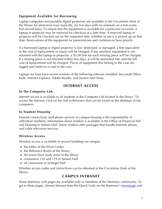## <span id="page-4-0"></span>**Equipment Available for Borrowing**

Laptop computers and portable digital projectors are available at the Circulation Desk of the library for short-term loan (typically, for five days with no renewal) on a first-come, first-served basis. To ensure that the equipment is available for a particular occasion, a laptop or projector may be reserved for checkout at a later time. A reserved laptop or projector will be checked out on the requested date, whether or not it is picked up on that date. Reservations of the equipment for presentations and conferences have priority.

If a borrowed laptop or digital projector is lost, destroyed, or damaged, a fine equivalent to the cost of replacement or repair will be charged. If any auxiliary equipment is not returned with the laptop or projector, a \$5.00 fine for each missing piece will be charged. If a missing piece is not returned within two days, it will be presumed lost, and the full cost of replacement will be charged. Pieces of equipment that belong in the case are tagged and listed on a card in the case.

Laptops for loan have recent versions of the following software installed: Microsoft Office Suite, Internet Explorer, Adobe Reader, and Norton Anti-Virus.

# **INTERNET ACCESS**

#### **In the Computer Lab**

Internet access is available to all students in the Computer Lab located in the library. To access the Internet, click on the link to Browsers that can be found on the desktops of lab computers.

#### **In Student Housing**

Internet connectivity (and phone service) in campus housing is the responsibility of individual residents. Information about vendors is available in the Office of Financial Aid and Housing in Nelson Hall. Some vendors offer packages that bundle Internet, phone, and cable television services.

#### **Wireless Access**

Wireless access is available in several buildings on campus:

- the lobby of the Winn Center
- the Reference Room of the library
- the lower-level study areas in the library
- classrooms 118 and 119 in Nelson Hall
- all classrooms in Schlegel Hall

Wireless access codes and instructions can be obtained at the Circulation Desk of the library.

## **CAMPUS INTRANET**

Some Seminary web pages are available only to members of the Seminary community. To get to these pages, choose Intranet from the Quick Links on the Seminary's [homepage](http://www.lpts.edu/) and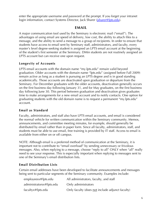<span id="page-5-0"></span>enter the appropriate username and password at the prompt. If you forget your intranet login information, contact Systems Director, Jack Sharer (*jsharer@lpts.edu*).

## **EMAIL**

A major communication tool used by the Seminary is electronic mail ("email"). The advantages of using email are speed of delivery, low cost, the ability to attach files to a message, and the ability to send a message to a group of recipients. In order to ensure that students have access to email sent by Seminary staff, administrators, and faculty, every master's level degree-seeking student is assigned an LPTS email account at the beginning of the student's first semester at the Seminary. DMin students are not routinely assigned an LPTS account but can receive one upon request.

## **Longevity of Accounts**

LPTS email accounts with the domain name "my.lpts.edu" remain valid beyond graduation. Older accounts with the domain name "lpts.edu" (assigned before Fall 2009) remain active as long as a student is pursuing an LPTS degree and is in good standing academically. Those accounts are deactivated upon graduation or departure from the Seminary. For December graduates with the older accounts, deactivation generally occurs on the first business day following January 31, and for May graduates, on the first business day following June 30. This period between graduation and deactivation gives graduates time to make arrangements for a new email account and to notify contacts. One option for graduating students with the old domain name is to request a permanent "my.lpts.edu" account.

## **Email as Standard**

Faculty, administrators, and staff also have LPTS email accounts, and email is considered the normal vehicle for written communication within the Seminary community. Memos, announcements, and committee meeting minutes, for example, should generally be distributed by email rather than in paper form. Since all faculty, administrators, staff, and students must be able to use email, free training is provided by IT staff. Access to email is available from either on or off campus.

NOTE: Although email is a preferred method of communication at the Seminary, it is important not to contribute to "email overload" by sending unnecessary or frivolous messages. Also, when replying to a message, choose "reply to all" ONLY when "all" really need to see your response. This is especially important when replying to messages sent to one of the Seminary's email distribution lists.

## **Email Distribution Lists**

Certain email addresses have been developed to facilitate announcements and messages being sent to particular segments of the Seminary community. Examples include:

| employeesx@lpts.edu      | All administrators, faculty, and staff          |
|--------------------------|-------------------------------------------------|
| administratorsx@lpts.edu | Only administrators                             |
| facultyx@lpts.edu        | Only faculty (does not include adjunct faculty) |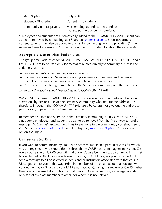<span id="page-6-0"></span>

| staffx@lpts.edu         | Only staff                            |
|-------------------------|---------------------------------------|
| studentsx@lpts.edu      | Current LPTS students                 |
| communitymailx@lpts.edu | Most employees and students and some  |
|                         | spouses/partners of current students* |

\*Employees and students are automatically added to the COMMUNITYMAIL list but can ask to be removed by contacting Jack Sharer at *isharer@lpts.edu*. Spouses/partners of current students may also be added to this list by contacting Jack and providing (1) their name and email address and (2) the name of the LPTS student to whom they are related.

## **Appropriate Use of Distribution Lists**

The group email addresses for ADMINISTRATORS, FACULTY, STAFF, STUDENTS, and all EMPLOYEES are to be used only for messages related directly to Seminary business and activities, such as:

- Announcements of Seminary-sponsored events
- Communications from Seminary offices, governance committees, and centers or institutes on campus that concern Seminary business or activities
- Prayer concerns relating to members of the Seminary community and their families

Email on other topics should be addressed to COMMUNITYMAIL.

WARNING: Because COMMUNITYMAIL is an address rather than a listserv, it is open to "invasion" by persons outside the Seminary community who acquire the address. It is, therefore, important that COMMUNITYMAIL users be careful not give out the address to persons or groups outside the Seminary community.

Remember also that not everyone in the Seminary community is on COMMUNITYMAIL since some employees and students do ask to be removed from it. If you need to send a message *dealing with Seminary business* to everyone in the community, you should send it to Students [\(studentsx@lpts.edu\)](mailto:studentsx@lpts.edu) and Employees [\(employeesx@lpts.edu\)](mailto:employeesx@lpts.edu). Please use this option sparingly!

## **Course-Related Email**

If you want to communicate by email with other members in a particular class for which you are registered, you should do this through the CAMS course management system. On every course site on CAMS you will find under Course Communication a link to Email just below the link to the Discussion Forum. Clicking on that link gives you the opportunity to send a message to all or selected students and/or instructors associated with that course. Messages sent to you in this way arrive in the inbox of the email account associated with your name in CAMS (usually your LPTS email account). Using this feature of CAMS (rather than one of the email distribution lists) allows you to avoid sending a message intended only for fellow class members to others for whom it is not relevant.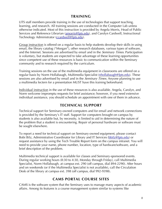## **TRAINING**

<span id="page-7-0"></span>LITS staff members provide training in the use of technologies that support teaching, learning, and research. All training sessions are conducted in the Computer Lab unless otherwise indicated. Most of this instruction is provided by Angela Morris, Head of Public Services and Reference Librarian [\(amorris@lpts.edu](mailto:amorris@lpts.edu)), and Carolyn Cardwell, Instructional Technology Administrator ([ccardwell@lpts.edu\)](mailto:ccardwell@lpts.edu).

Group instruction is offered on a regular basis to help students develop their skills in using email, the library catalog ("Morgan"), other research databases, various types of software, and the Internet. Sessions are advertised by email and in the *Seminary Times*. Participation is voluntary, but students are expected to take advantage of these learning opportunities since competent use of these resources is basic to communication within the Seminary community and to research required by the curriculum.

Training sessions on the use of the multimedia equipment in classrooms are offered on a regular basis by Norm Hollabaugh, Multimedia Specialist ([nhollabaugh@lpts.edu\)](mailto:nhollabaugh@lpts.edu). These sessions are also advertised by email and in the *Seminary Times*. Anyone planning to use a multimedia lectern for a presentation MUST have this training beforehand.

Individual instruction in the use of these resources is also available. Angela, Carolyn, and Norm welcome impromptu requests for brief assistance; however, if you need extensive individual assistance, you should schedule an appointment with one of them in advance.

# **TECHNICAL SUPPORT**

Technical support for Seminary-owned computers and for email and network connections is provided by the Seminary's IT staff. Support for computers brought on campus by students is also available but, by necessity, is limited to aid in determining the nature of the problem that a student is encountering. Repair of personal hardware or software must be sought elsewhere.

To report a need for technical support on Seminary-owned equipment, please contact Bobi Bilz, Administrative Coordinator for Library and IT Services ([bbilz@lpts.edu](mailto:bbilz@lpts.edu)) or request assistance by using the Tech Trouble Report form on the campus intranet. You will need to provide your name, phone number, location, type of hardware/software, and a brief description of the problem.

Multimedia technical support is available for classes and Seminary-sponsored events. During regular working hours (8:30 to 4:30, Monday through Friday), call Multimedia Specialist, Norm Hollabaugh, at campus ext. 290 (off campus, dial 894-2290). After hours and on weekends (or if the Multimedia Specialist is not available), call the Circulation Desk of the library at campus ext. 398 (off campus, dial 992-9398).

# **CAMS PORTAL COURSE SITES**

CAMS is the software system that the Seminary uses to manage many aspects of academic affairs. Among its features is a course management system similar to systems like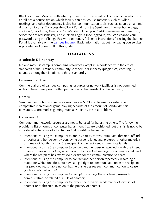<span id="page-8-0"></span>Blackboard and Moodle, with which you may be more familiar. Each course in which you enroll has a course site on which faculty can post course materials such as syllabi, readings, and other documents. It also has communication tools, such as course email and discussion forums. To access the CAMS Portal from the Seminary's Internet home page, click on Quick Links, then on CAMS-Student. Enter your CAMS username and password, select the desired semester, and click on Login. Once logged in, you can change your password using the Change Password option. A full set of instructions for using the Student Portal is available on the [campus intranet](https://mail1.lpts.edu/intranet/Students/CAMSStudentPortal.pdf). Basic information about navigating course sites is provided in **Appendix II** of this guide.

## **LIMITATIONS**

## **Academic Dishonesty**

No one may use campus computing resources except in accordance with the ethical standards of the Seminary community. Academic dishonesty (plagiarism, cheating) is counted among the violations of those standards.

## **Commercial Use**

Commercial use of campus computing resources or network facilities is not permitted without the express prior written permission of the President of the Seminary.

#### **Games**

Seminary computing and network services are NEVER to be used for extensive or competitive recreational game-playing because of the amount of bandwidth this consumes. More modest gaming, such as Solitaire, is not a problem.

## **Harassment**

Computer and network resources are not to be used for harassing others. The following provides a list of forms of computer harassment that are prohibited, but this list is not to be considered exhaustive of all activities that constitute harassment:

- intentionally using the computer to annoy, harass, terrify, intimidate, threaten, offend, or bother another person by conveying obscene language, pictures, or other materials or threats of bodily harm to the recipient or the recipient's immediate family;
- intentionally using the computer to contact another person repeatedly with the intent to annoy, harass, or bother, whether or not any actual message is communicated, and where the recipient has expressed a desire for the communication to cease;
- intentionally using the computer to contact another person repeatedly regarding a matter for which one does not have a legal right to communicate, once the recipient has provided reasonable notice that he or she desires such communication to cease (such as debt collection);
- intentionally using the computer to disrupt or damage the academic, research, administrative, or related pursuits of another;
- intentionally using the computer to invade the privacy, academic or otherwise, of another or to threaten invasion of the privacy of another.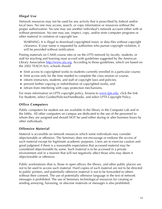## <span id="page-9-0"></span>**Illegal Use**

Network resources may not be used for any activity that is proscribed by federal and/or local laws. No one may access, search, or copy information or resources without the proper authorization. No one may use another individual's network account either with or without permission. No one may use, inspect, copy, and/or store computer programs or other material in violation of copyright law.

WARNING: It is illegal to download copyrighted music or data files without copyright clearance. If your name is requested by authorities who pursue copyright violation, it will be provided without notification.

Posting materials on CAMS course sites or on the LPTS network by faculty, students, or staff for teaching and learning must accord with guidelines suggested by the American Library Association [http://www.ala.org.](http://www.ala.org/) According to those guidelines, which are based on the 2002 TEACH Act), schools should

- limit access to copyrighted works to students currently enrolled in a particular course;
- limit access only for the time needed to complete the class session or course;
- inform instructors, students, and staff of copyright laws and policies;
- prevent further copying or redistribution of copyrighted works; and
- refrain from interfering with copy protection mechanisms.

For more information on LPTS copyright policy, browse to [www.lpts.edu](http://www.lpts.edu/), click the link For Students, select Guides/Policies/Handbooks, and select LPTS Copyright Policy.

## **Office Computers**

Public computers for student use are available in the library in the Computer Lab and in the lobby. All other computers on campus are dedicated to the use of the personnel to whom they are assigned and should NOT be used either during or after business hours by other individuals.

## **Offensive Material**

Material is accessible on network resources which some individuals may consider objectionable or offensive. The Seminary does not encourage or endorse the access of such material except for legitimate academic purposes. Users are to exercise caution and good judgment if there is a reasonable expectation that accessed material may be considered objectionable by some. Such material is to be accessed in a private environment and in a manner that will not negatively affect those who may deem it objectionable or offensive.

Public workstations (that is, those in open offices, the library, and other public places) are not to be used to access such material. Hard copies of such material are not to be directed to public printers, and potentially offensive material is not to be forwarded to others without their consent. The use of potentially offensive language in the text of network messages is prohibited. The use of Seminary technological resources for creating or sending annoying, harassing, or obscene materials or messages is also prohibited.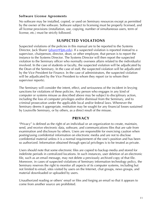#### <span id="page-10-0"></span>**Software License Agreements**

No software may be installed, copied, or used on Seminary resources except as permitted by the owner of the software. Software subject to licensing must be properly licensed, and all license provisions (installation, use, copying, number of simultaneous users, term of license, etc.) must be strictly followed.

## **SUSPECTED VIOLATIONS**

Suspected violations of the policies in this manual are to be reported to the Systems Director, Jack Sharer (*jsharer@lpts.edu*). If a suspected violation is reported instead to a supervisor, chairperson, director, dean, or other employee, that person is to report the instance to the Systems Director. The Systems Director will then report the suspected violation to the Seminary officer who normally oversees affairs related to the individual(s) involved. In the case of students or faculty, the suspected violation will be adjudicated by the Dean of the Seminary. In the case of staff, the suspected violation will be adjudicated by the Vice President for Finance. In the case of administrators, the suspected violation will be adjudicated by the Vice President to whom they report (or to whom their supervisor reports).

The Seminary will consider the intent, effect, and seriousness of the incident in levying sanctions for violations of these policies. Any person who engages in any kind of computer or systems misuse as described above may be subject to disciplinary action, including the loss of computer privileges and/or dismissal from the Seminary, and to criminal prosecution under the applicable local and/or federal laws. Whenever the Seminary deems it appropriate, restitution may be sought for any financial losses sustained by Louisville Seminary, or by others, as a direct result of the misuse.

## **PRIVACY**

"Privacy" is defined as the right of an individual or an organization to create, maintain, send, and receive electronic data, software, and communications files that are safe from examination and disclosure by others. Users are responsible for exercising caution when posting/using confidential information on electronic media and are not to disclose confidential material unless it is a normal requirement of the one's position and has been so authorized. Information obtained through special privileges is to be treated as private.

Users should note that some electronic files are copied to backup media and stored for indefinite periods in centralized locations. In such instances, user deletion of an electronic file, such as an email message, may not delete a previously archived copy of that file. Moreover, in cases of suspected violations of Seminary information technology policy, the Seminary reserves the right to monitor all aspects of its computer systems, including but not limited to email, sites visited by users on the Internet, chat groups, news groups, and material downloaded or uploaded by users.

Unauthorized reading or others' email or files and forging an email so that it appears to come from another source are prohibited.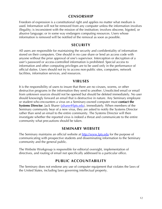## **CENSORSHIP**

<span id="page-11-0"></span>Freedom of expression is a constitutional right and applies no matter what medium is used. Information will not be removed from any computer unless the information involves illegality; is inconsistent with the mission of the institution; involves obscene, bigoted, or abusive language; or in some way endangers computing resources. Users whose information is removed will be notified of the removal as soon as possible.

## **SECURITY**

All users are responsible for maintaining the security and confidentiality of information stored on their computers. One should in no case share or lend an access code with anyone without the prior approval of one's supervisor. Interception or decryption of a user's password or access-controlled information is prohibited. Special access to information and other computing privileges are to be used only in the performance of official duties. Users should not try to access non-public sites, computers, network facilities, information services, and resources.

## **VIRUSES**

It is the responsibility of users to insure that there are no viruses, worms, or other destructive programs in the information they send to another. Unsolicited email or email from unknown sources should not be opened but should be deleted immediately. No user should knowingly forward an email that is destructive in nature. Any Seminary employee or student who encounters a virus on a Seminary-owned computer must **contact the Systems Director**, Jack Sharer (*jsharer@lpts.edu*), immediately. When members of the Seminary community hear of a new virus, they are asked to notify the Systems Director rather than send an email to the entire community. The Systems Director will then investigate whether the reported virus is indeed a threat and communicate to the entire community what precautions should be taken.

## **SEMINARY WEBSITE**

The Seminary maintains an official website at [http://www.lpts.edu](http://www.lpts.edu/) for the purpose of communicating with prospective students and disseminating information to the Seminary community and the general public.

The Website Workgroup is responsible for editorial oversight, implementation of directives, and routing of email not specifically addressed to a particular office.

# **PUBLIC ACCOUNTABILITY**

The Seminary does not endorse any use of computer equipment that violates the laws of the United States, including laws governing intellectual property.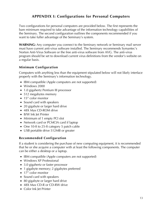# **APPENDIX I: Configurations for Personal Computers**

<span id="page-12-0"></span>Two configurations for personal computers are provided below. The first represents the bare minimum required to take advantage of the information technology capabilities of the Seminary. The second configuration outlines the components recommended if you want to take fuller advantage of the Seminary's system.

**WARNING:** Any computer you connect to the Seminary network or Seminary mail server must have current anti-virus software installed. The Seminary recommends Symantec's Norton Anti-Virus Software or the free anti-virus software from AVG. The anti-virus program should be set to download current virus definitions from the vendor's website on a regular basis.

## **Minimum Configuration**

Computers with anything less than the equipment stipulated below will not likely interface properly with the Seminary's information technology.

- IBM compatible (Apple computers are not supported)
- Windows 2000
- 1.0 gigahertz Pentium III processor
- 512 megabytes memory
- 15" color monitor
- Sound card with speakers
- 20 gigabyte or larger hard drive
- 48X Max CD-ROM drive
- B/W Ink Jet Printer
- Minimum of 1 empty PCI slot
- Network card or PCMCIA card if laptop
- One 10-ft to 25-ft category 5 patch cable
- USB portable drive 512MB or greater

## **Recommended Configuration**

If a student is considering the purchase of new computing equipment, it is recommended that he or she acquire a computer with at least the following components. The computer can be either a desktop or a laptop.

- IBM compatible (Apple computers are not supported)
- Windows XP Professional
- 3.0 gigahertz or faster processor
- 1 gigabyte memory; 2 gigabytes preferred
- 17" color monitor
- Sound card with speakers
- 80 gigabyte or larger hard drive
- 48X Max CD-R or CD-RW drive
- Color Ink let Printer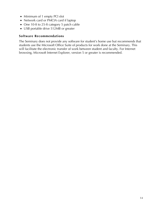- Minimum of 1 empty PCI slot
- Network card or PMCIA card if laptop
- One 10-ft to 25-ft category 5 patch cable
- USB portable drive 512MB or greater

#### **Software Recommendations**

The Seminary does not provide any software for student's home use but recommends that students use the Microsoft Office Suite of products for work done at the Seminary. This will facilitate the electronic transfer of work between student and faculty. For Internet browsing, Microsoft Internet Explorer, version 5 or greater is recommended.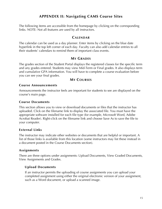# **APPENDIX II: Navigating CAMS Course Sites**

<span id="page-14-0"></span>The following items are accessible from the homepage by clicking on the corresponding links. NOTE: Not all features are used by all instructors.

## **CALENDAR**

The calendar can be used as a day planner. Enter items by clicking on the blue date hyperlink in the top left corner of each day. Faculty can also add calendar entries to all their students' calendars to remind them of important class events.

## **MY GRADES**

The grades section of the Student Portal displays the registered classes for the specific term and any grades entered. Students may view Mid-Term or Final grades. It also displays term and cumulative GPA information. You will have to complete a course evaluation before you can see your final grades.

## **MY COURSES**

#### **Course Announcements**

Announcements the instructor feels are important for students to see are displayed on the course's main page.

#### **Course Documents**

This section allows you to view or download documents or files that the instructor has uploaded. Click on the filename link to display the associated file. You must have the appropriate software installed for each file type (for example, Microsoft Word, Adobe Acrobat Reader). Right-click on the filename link and choose Save As to save the file to your computer.

#### **External Links**

The instructor may indicate other websites or documents that are helpful or important. A list of those links is available from this location (some instructors may list these instead in a document posted in the Course Documents section).

#### **Assignments**

There are three options under assignments: Upload Documents, View Graded Documents, View Assignments and Grades.

#### **Upload Documents**

If an instructor permits the uploading of course assignments you can upload your completed assignment using either the original electronic version of your assignment, such as a Word document, or upload a scanned image.